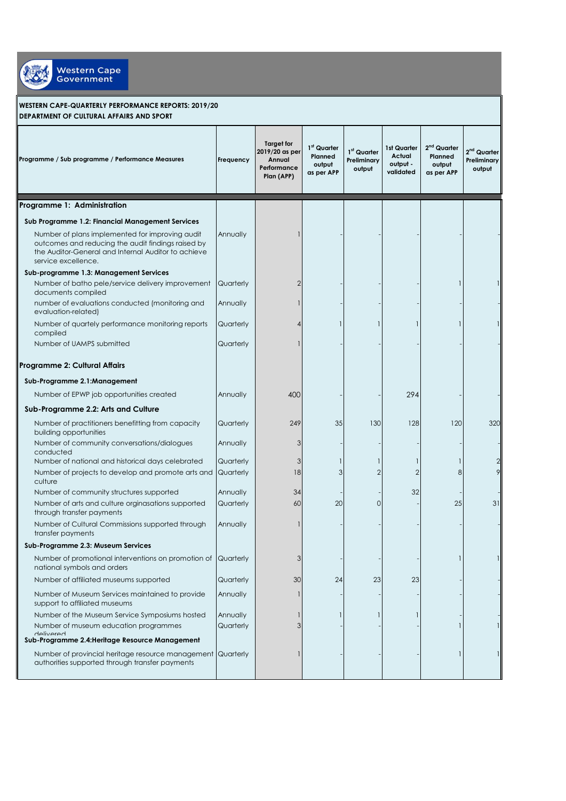

## **WESTERN CAPE-QUARTERLY PERFORMANCE REPORTS: 2019/20 DEPARTMENT OF CULTURAL AFFAIRS AND SPORT**

| Programme / Sub programme / Performance Measures                                                                                                                                    | Frequency | <b>Target for</b><br>2019/20 as per<br>Annual<br>Performance<br>Plan (APP) | 1st Quarter<br>Planned<br>output<br>as per APP | 1st Quarter<br>Preliminary<br>output | 1st Quarter<br>Actual<br>output -<br>validated | 2 <sup>nd</sup> Quarter<br>Planned<br>output<br>as per APP | 2 <sup>nd</sup> Quarter<br><b>Preliminary</b><br>output |
|-------------------------------------------------------------------------------------------------------------------------------------------------------------------------------------|-----------|----------------------------------------------------------------------------|------------------------------------------------|--------------------------------------|------------------------------------------------|------------------------------------------------------------|---------------------------------------------------------|
| Programme 1: Administration                                                                                                                                                         |           |                                                                            |                                                |                                      |                                                |                                                            |                                                         |
| Sub Programme 1.2: Financial Management Services                                                                                                                                    |           |                                                                            |                                                |                                      |                                                |                                                            |                                                         |
| Number of plans implemented for improving audit<br>outcomes and reducing the audit findings raised by<br>the Auditor-General and Internal Auditor to achieve<br>service excellence. | Annually  |                                                                            |                                                |                                      |                                                |                                                            |                                                         |
| Sub-programme 1.3: Management Services                                                                                                                                              |           |                                                                            |                                                |                                      |                                                |                                                            |                                                         |
| Number of batho pele/service delivery improvement<br>documents compiled                                                                                                             | Quarterly |                                                                            |                                                |                                      |                                                |                                                            |                                                         |
| number of evaluations conducted (monitoring and<br>evaluation-related)                                                                                                              | Annually  |                                                                            |                                                |                                      |                                                |                                                            |                                                         |
| Number of quartely performance monitoring reports<br>compiled                                                                                                                       | Quarterly |                                                                            |                                                |                                      |                                                |                                                            |                                                         |
| Number of UAMPS submitted                                                                                                                                                           | Quarterly |                                                                            |                                                |                                      |                                                |                                                            |                                                         |
| <b>Programme 2: Cultural Affairs</b>                                                                                                                                                |           |                                                                            |                                                |                                      |                                                |                                                            |                                                         |
| Sub-Programme 2.1:Management                                                                                                                                                        |           |                                                                            |                                                |                                      |                                                |                                                            |                                                         |
| Number of EPWP job opportunities created                                                                                                                                            | Annually  | 400                                                                        |                                                |                                      | 294                                            |                                                            |                                                         |
| Sub-Programme 2.2: Arts and Culture                                                                                                                                                 |           |                                                                            |                                                |                                      |                                                |                                                            |                                                         |
| Number of practitioners benefitting from capacity<br>building opportunities                                                                                                         | Quarterly | 249                                                                        | 35                                             | 130                                  | 128                                            | 120                                                        | 320                                                     |
| Number of community conversations/dialogues<br>conducted                                                                                                                            | Annually  | 3                                                                          |                                                |                                      |                                                |                                                            |                                                         |
| Number of national and historical days celebrated                                                                                                                                   | Quarterly | 3                                                                          |                                                |                                      |                                                | 1                                                          |                                                         |
| Number of projects to develop and promote arts and<br>culture                                                                                                                       | Quarterly | 18                                                                         | 3                                              |                                      |                                                | 8                                                          | 9                                                       |
| Number of community structures supported                                                                                                                                            | Annually  | 34                                                                         |                                                |                                      | 32                                             |                                                            |                                                         |
| Number of arts and culture orginasations supported<br>through transfer payments                                                                                                     | Quarterly | 60                                                                         | 20                                             | O                                    |                                                | 25                                                         | 31                                                      |
| Number of Cultural Commissions supported through<br>transfer payments                                                                                                               | Annually  |                                                                            |                                                |                                      |                                                |                                                            |                                                         |
| Sub-Programme 2.3: Museum Services                                                                                                                                                  |           |                                                                            |                                                |                                      |                                                |                                                            |                                                         |
| Number of promotional interventions on promotion of<br>national symbols and orders                                                                                                  | Quarterly | 3                                                                          |                                                |                                      |                                                |                                                            | 1                                                       |
| Number of affiliated museums supported                                                                                                                                              | Quarterly | 30                                                                         | 24                                             | 23                                   | 23                                             |                                                            |                                                         |
| Number of Museum Services maintained to provide<br>support to affiliated museums                                                                                                    | Annually  |                                                                            |                                                |                                      |                                                |                                                            |                                                         |
| Number of the Museum Service Symposiums hosted                                                                                                                                      | Annually  |                                                                            |                                                |                                      |                                                |                                                            |                                                         |
| Number of museum education programmes<br><b>Halivaran</b>                                                                                                                           | Quarterly |                                                                            |                                                |                                      |                                                |                                                            |                                                         |
| Sub-Programme 2.4: Heritage Resource Management                                                                                                                                     |           |                                                                            |                                                |                                      |                                                |                                                            |                                                         |
| Number of provincial heritage resource management<br>authorities supported through transfer payments                                                                                | Quarterly |                                                                            |                                                |                                      |                                                | 1                                                          |                                                         |
|                                                                                                                                                                                     |           |                                                                            |                                                |                                      |                                                |                                                            |                                                         |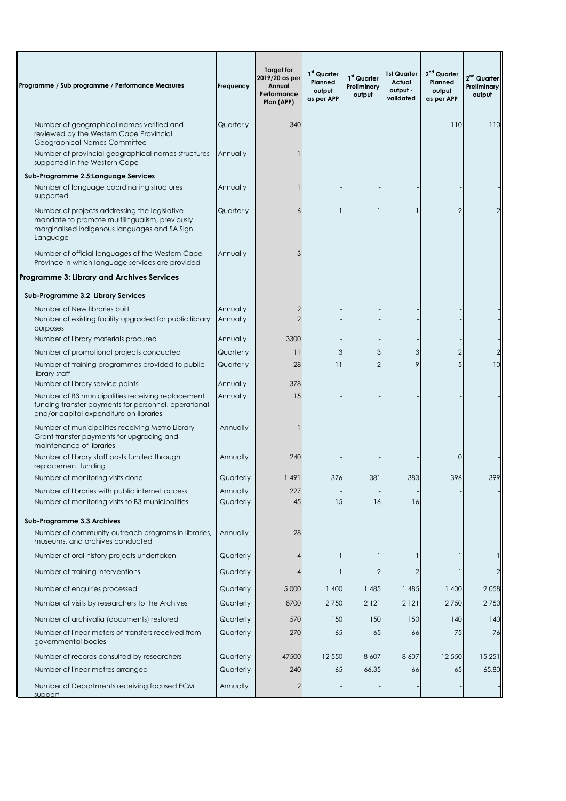| Programme / Sub programme / Performance Measures                                                                                                             | Frequency            | <b>Target for</b><br>2019/20 as per<br>Annual<br>Performance<br>Plan (APP) | 1 <sup>st</sup> Quarter<br>Planned<br>output<br>as per APP | 1 <sup>st</sup> Quarter<br>Preliminary<br>output | 1st Quarter<br>Actual<br>output -<br>validated | $2nd$ Quarter<br>Planned<br>output<br>as per APP | $2nd$ Quarter<br>Preliminary<br>output |
|--------------------------------------------------------------------------------------------------------------------------------------------------------------|----------------------|----------------------------------------------------------------------------|------------------------------------------------------------|--------------------------------------------------|------------------------------------------------|--------------------------------------------------|----------------------------------------|
| Number of geographical names verified and<br>reviewed by the Western Cape Provincial<br>Geographical Names Committee                                         | Quarterly            | 340                                                                        |                                                            |                                                  |                                                | 110                                              | 110                                    |
| Number of provincial geographical names structures<br>supported in the Western Cape                                                                          | Annually             |                                                                            |                                                            |                                                  |                                                |                                                  |                                        |
| Sub-Programme 2.5: Language Services                                                                                                                         |                      |                                                                            |                                                            |                                                  |                                                |                                                  |                                        |
| Number of language coordinating structures<br>supported                                                                                                      | Annually             |                                                                            |                                                            |                                                  |                                                |                                                  |                                        |
| Number of projects addressing the legislative<br>mandate to promote multilingualism, previously<br>marginalised indigenous languages and SA Sign<br>Language | Quarterly            |                                                                            |                                                            |                                                  |                                                | $\overline{2}$                                   |                                        |
| Number of official languages of the Western Cape<br>Province in which language services are provided                                                         | Annually             | 3                                                                          |                                                            |                                                  |                                                |                                                  |                                        |
| Programme 3: Library and Archives Services                                                                                                                   |                      |                                                                            |                                                            |                                                  |                                                |                                                  |                                        |
| Sub-Programme 3.2 Library Services                                                                                                                           |                      |                                                                            |                                                            |                                                  |                                                |                                                  |                                        |
| Number of New libraries built<br>Number of existing facility upgraded for public library<br>purposes                                                         | Annually<br>Annually |                                                                            |                                                            |                                                  |                                                |                                                  |                                        |
| Number of library materials procured                                                                                                                         | Annually             | 3300                                                                       |                                                            |                                                  |                                                |                                                  |                                        |
| Number of promotional projects conducted                                                                                                                     | Quarterly            | $\overline{11}$                                                            | 3                                                          | 3                                                | 3                                              | $\overline{2}$                                   | 2                                      |
| Number of training programmes provided to public<br>library staff                                                                                            | Quarterly            | 28                                                                         | 11                                                         |                                                  | 9                                              | 5                                                | 10                                     |
| Number of library service points                                                                                                                             | Annually             | 378                                                                        |                                                            |                                                  |                                                |                                                  |                                        |
| Number of B3 municipalities receiving replacement<br>funding transfer payments for personnel, operational<br>and/or capital expenditure on libraries         | Annually             | 15                                                                         |                                                            |                                                  |                                                |                                                  |                                        |
| Number of municipalities receiving Metro Library<br>Grant transfer payments for upgrading and<br>maintenance of libraries                                    | Annually             |                                                                            |                                                            |                                                  |                                                |                                                  |                                        |
| Number of library staff posts funded through<br>replacement funding                                                                                          | Annually             | 240                                                                        |                                                            |                                                  |                                                | 0                                                |                                        |
| Number of monitoring visits done                                                                                                                             | Quarterly            | 1491                                                                       | 376                                                        | 381                                              | 383                                            | 396                                              | 399                                    |
| Number of libraries with public internet access                                                                                                              | Annually             | 227                                                                        |                                                            |                                                  |                                                |                                                  |                                        |
| Number of monitoring visits to B3 municipalities                                                                                                             | Quarterly            | 45                                                                         | 15                                                         | 16                                               | 16                                             |                                                  |                                        |
| Sub-Programme 3.3 Archives                                                                                                                                   |                      |                                                                            |                                                            |                                                  |                                                |                                                  |                                        |
| Number of community outreach programs in libraries,<br>museums, and archives conducted                                                                       | Annually             | 28                                                                         |                                                            |                                                  |                                                |                                                  |                                        |
| Number of oral history projects undertaken                                                                                                                   | Quarterly            |                                                                            |                                                            |                                                  |                                                |                                                  |                                        |
| Number of training interventions                                                                                                                             | Quarterly            |                                                                            |                                                            |                                                  | 2                                              |                                                  | $\overline{2}$                         |
| Number of enquiries processed                                                                                                                                | Quarterly            | 5 0 0 0                                                                    | 1 400                                                      | 1 485                                            | 1 485                                          | 1 400                                            | 2058                                   |
| Number of visits by researchers to the Archives                                                                                                              | Quarterly            | 8700                                                                       | 2750                                                       | 2 1 2 1                                          | 2 1 2 1                                        | 2750                                             | 2750                                   |
| Number of archivalia (documents) restored                                                                                                                    | Quarterly            | 570                                                                        | 150                                                        | 150                                              | 150                                            | 140                                              | 140                                    |
| Number of linear meters of transfers received from<br>governmental bodies                                                                                    | Quarterly            | 270                                                                        | 65                                                         | 65                                               | 66                                             | 75                                               | 76                                     |
| Number of records consulted by researchers                                                                                                                   | Quarterly            | 47500                                                                      | 12 550                                                     | 8 6 0 7                                          | 8 6 0 7                                        | 12 550                                           | 15 25 1                                |
| Number of linear metres arranged                                                                                                                             | Quarterly            | 240                                                                        | 65                                                         | 66.35                                            | 66                                             | 65                                               | 65.80                                  |
| Number of Departments receiving focused ECM<br>support                                                                                                       | Annually             | 2                                                                          |                                                            |                                                  |                                                |                                                  |                                        |